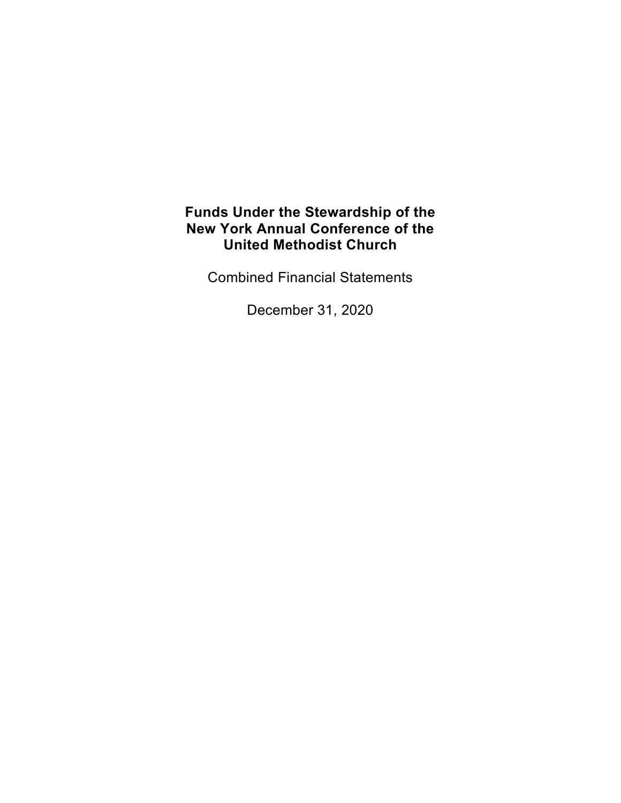Combined Financial Statements

December 31, 2020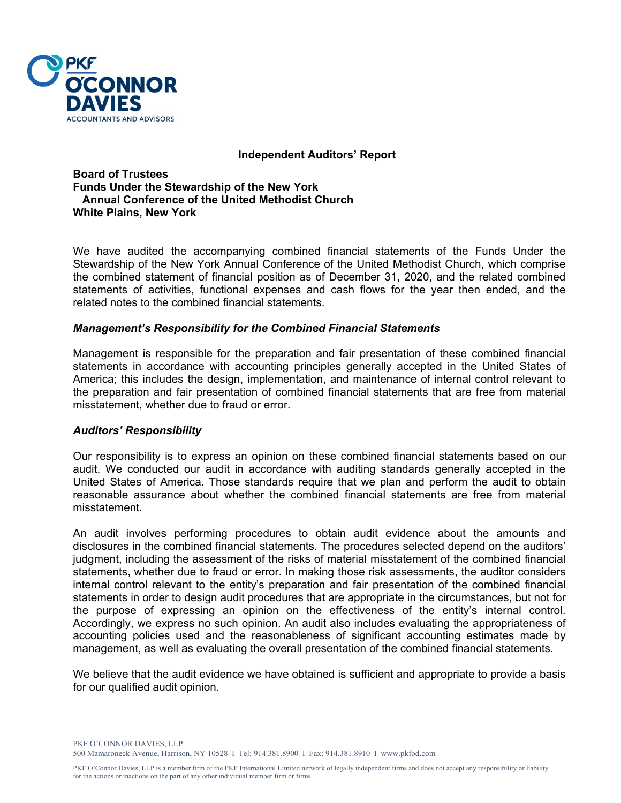

#### **Independent Auditors' Report**

**Board of Trustees Funds Under the Stewardship of the New York Annual Conference of the United Methodist Church White Plains, New York** 

We have audited the accompanying combined financial statements of the Funds Under the Stewardship of the New York Annual Conference of the United Methodist Church, which comprise the combined statement of financial position as of December 31, 2020, and the related combined statements of activities, functional expenses and cash flows for the year then ended, and the related notes to the combined financial statements.

### *Management's Responsibility for the Combined Financial Statements*

Management is responsible for the preparation and fair presentation of these combined financial statements in accordance with accounting principles generally accepted in the United States of America; this includes the design, implementation, and maintenance of internal control relevant to the preparation and fair presentation of combined financial statements that are free from material misstatement, whether due to fraud or error.

#### *Auditors' Responsibility*

Our responsibility is to express an opinion on these combined financial statements based on our audit. We conducted our audit in accordance with auditing standards generally accepted in the United States of America. Those standards require that we plan and perform the audit to obtain reasonable assurance about whether the combined financial statements are free from material misstatement.

An audit involves performing procedures to obtain audit evidence about the amounts and disclosures in the combined financial statements. The procedures selected depend on the auditors' judgment, including the assessment of the risks of material misstatement of the combined financial statements, whether due to fraud or error. In making those risk assessments, the auditor considers internal control relevant to the entity's preparation and fair presentation of the combined financial statements in order to design audit procedures that are appropriate in the circumstances, but not for the purpose of expressing an opinion on the effectiveness of the entity's internal control. Accordingly, we express no such opinion. An audit also includes evaluating the appropriateness of accounting policies used and the reasonableness of significant accounting estimates made by management, as well as evaluating the overall presentation of the combined financial statements.

We believe that the audit evidence we have obtained is sufficient and appropriate to provide a basis for our qualified audit opinion.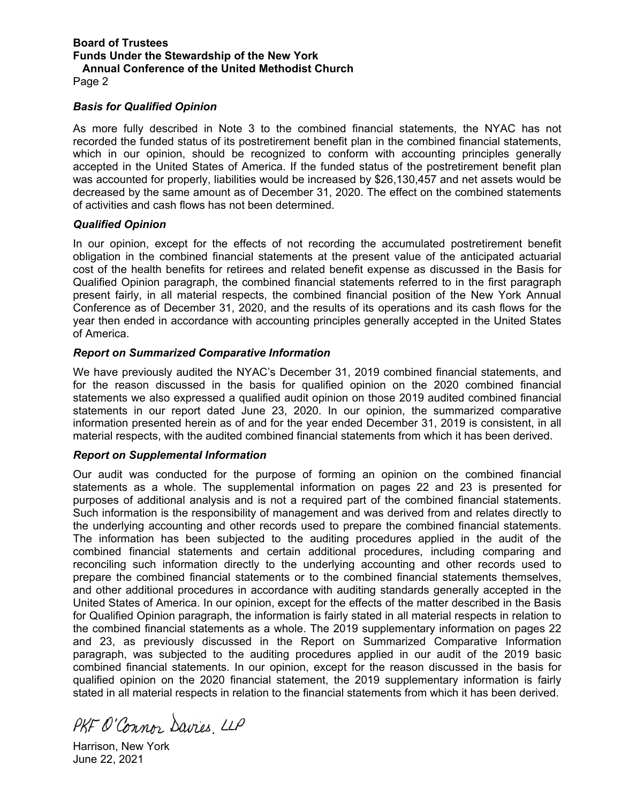Page 2

#### *Basis for Qualified Opinion*

As more fully described in Note 3 to the combined financial statements, the NYAC has not recorded the funded status of its postretirement benefit plan in the combined financial statements, which in our opinion, should be recognized to conform with accounting principles generally accepted in the United States of America. If the funded status of the postretirement benefit plan was accounted for properly, liabilities would be increased by \$26,130,457 and net assets would be decreased by the same amount as of December 31, 2020. The effect on the combined statements of activities and cash flows has not been determined.

#### *Qualified Opinion*

In our opinion, except for the effects of not recording the accumulated postretirement benefit obligation in the combined financial statements at the present value of the anticipated actuarial cost of the health benefits for retirees and related benefit expense as discussed in the Basis for Qualified Opinion paragraph, the combined financial statements referred to in the first paragraph present fairly, in all material respects, the combined financial position of the New York Annual Conference as of December 31, 2020, and the results of its operations and its cash flows for the year then ended in accordance with accounting principles generally accepted in the United States of America.

#### *Report on Summarized Comparative Information*

We have previously audited the NYAC's December 31, 2019 combined financial statements, and for the reason discussed in the basis for qualified opinion on the 2020 combined financial statements we also expressed a qualified audit opinion on those 2019 audited combined financial statements in our report dated June 23, 2020. In our opinion, the summarized comparative information presented herein as of and for the year ended December 31, 2019 is consistent, in all material respects, with the audited combined financial statements from which it has been derived.

#### *Report on Supplemental Information*

Our audit was conducted for the purpose of forming an opinion on the combined financial statements as a whole. The supplemental information on pages 22 and 23 is presented for purposes of additional analysis and is not a required part of the combined financial statements. Such information is the responsibility of management and was derived from and relates directly to the underlying accounting and other records used to prepare the combined financial statements. The information has been subjected to the auditing procedures applied in the audit of the combined financial statements and certain additional procedures, including comparing and reconciling such information directly to the underlying accounting and other records used to prepare the combined financial statements or to the combined financial statements themselves, and other additional procedures in accordance with auditing standards generally accepted in the United States of America. In our opinion, except for the effects of the matter described in the Basis for Qualified Opinion paragraph, the information is fairly stated in all material respects in relation to the combined financial statements as a whole. The 2019 supplementary information on pages 22 and 23, as previously discussed in the Report on Summarized Comparative Information paragraph, was subjected to the auditing procedures applied in our audit of the 2019 basic combined financial statements. In our opinion, except for the reason discussed in the basis for qualified opinion on the 2020 financial statement, the 2019 supplementary information is fairly stated in all material respects in relation to the financial statements from which it has been derived.

PKF O'Connor Davies, LLP

Harrison, New York June 22, 2021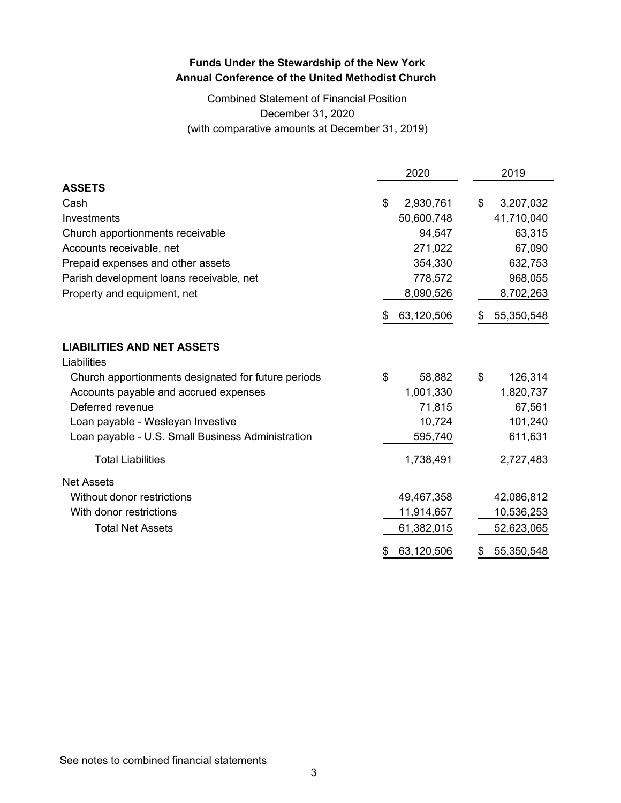## Combined Statement of Financial Position December 31, 2020 (with comparative amounts at December 31, 2019)

|                                                     | 2020             |    | 2019       |
|-----------------------------------------------------|------------------|----|------------|
| <b>ASSETS</b>                                       |                  |    |            |
| Cash                                                | \$<br>2,930,761  | \$ | 3,207,032  |
| Investments                                         | 50,600,748       |    | 41,710,040 |
| Church apportionments receivable                    | 94,547           |    | 63,315     |
| Accounts receivable, net                            | 271,022          |    | 67,090     |
| Prepaid expenses and other assets                   | 354,330          |    | 632,753    |
| Parish development loans receivable, net            | 778,572          |    | 968,055    |
| Property and equipment, net                         | 8,090,526        |    | 8,702,263  |
|                                                     | \$<br>63,120,506 | S  | 55,350,548 |
| <b>LIABILITIES AND NET ASSETS</b>                   |                  |    |            |
| Liabilities                                         |                  |    |            |
| Church apportionments designated for future periods | \$<br>58,882     | \$ | 126,314    |
| Accounts payable and accrued expenses               | 1,001,330        |    | 1,820,737  |
| Deferred revenue                                    | 71,815           |    | 67,561     |
| Loan payable - Wesleyan Investive                   | 10,724           |    | 101,240    |
| Loan payable - U.S. Small Business Administration   | 595,740          |    | 611,631    |
| <b>Total Liabilities</b>                            | 1,738,491        |    | 2,727,483  |
| <b>Net Assets</b>                                   |                  |    |            |
| Without donor restrictions                          | 49,467,358       |    | 42,086,812 |
| With donor restrictions                             | 11,914,657       |    | 10,536,253 |
| <b>Total Net Assets</b>                             | 61,382,015       |    | 52,623,065 |
|                                                     | \$<br>63,120,506 | \$ | 55,350,548 |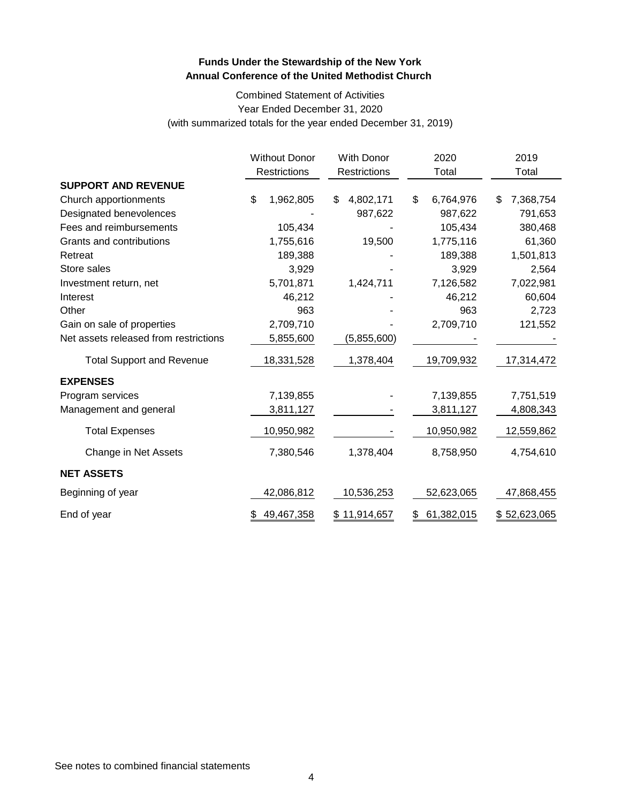Combined Statement of Activities Year Ended December 31, 2020 (with summarized totals for the year ended December 31, 2019)

|                                       | <b>Without Donor</b> | <b>With Donor</b> | 2020             | 2019            |  |
|---------------------------------------|----------------------|-------------------|------------------|-----------------|--|
|                                       | Restrictions         | Restrictions      | Total            | Total           |  |
| <b>SUPPORT AND REVENUE</b>            |                      |                   |                  |                 |  |
| Church apportionments                 | \$<br>1,962,805      | 4,802,171<br>\$   | \$<br>6,764,976  | 7,368,754<br>\$ |  |
| Designated benevolences               |                      | 987,622           | 987,622          | 791,653         |  |
| Fees and reimbursements               | 105,434              |                   | 105,434          | 380,468         |  |
| Grants and contributions              | 1,755,616            | 19,500            | 1,775,116        | 61,360          |  |
| Retreat                               | 189,388              |                   | 189,388          | 1,501,813       |  |
| Store sales                           | 3,929                |                   | 3,929            | 2,564           |  |
| Investment return, net                | 5,701,871            | 1,424,711         | 7,126,582        | 7,022,981       |  |
| Interest                              | 46,212               |                   | 46,212           | 60,604          |  |
| Other                                 | 963                  |                   | 963              | 2,723           |  |
| Gain on sale of properties            | 2,709,710            |                   | 2,709,710        | 121,552         |  |
| Net assets released from restrictions | 5,855,600            | (5,855,600)       |                  |                 |  |
| <b>Total Support and Revenue</b>      | 18,331,528           | 1,378,404         | 19,709,932       | 17,314,472      |  |
| <b>EXPENSES</b>                       |                      |                   |                  |                 |  |
| Program services                      | 7,139,855            |                   | 7,139,855        | 7,751,519       |  |
| Management and general                | 3,811,127            |                   | 3,811,127        | 4,808,343       |  |
| <b>Total Expenses</b>                 | 10,950,982           |                   | 10,950,982       | 12,559,862      |  |
| Change in Net Assets                  | 7,380,546            | 1,378,404         | 8,758,950        | 4,754,610       |  |
| <b>NET ASSETS</b>                     |                      |                   |                  |                 |  |
| Beginning of year                     | 42,086,812           | 10,536,253        | 52,623,065       | 47,868,455      |  |
| End of year                           | 49,467,358<br>\$     | \$11,914,657      | 61,382,015<br>\$ | \$52,623,065    |  |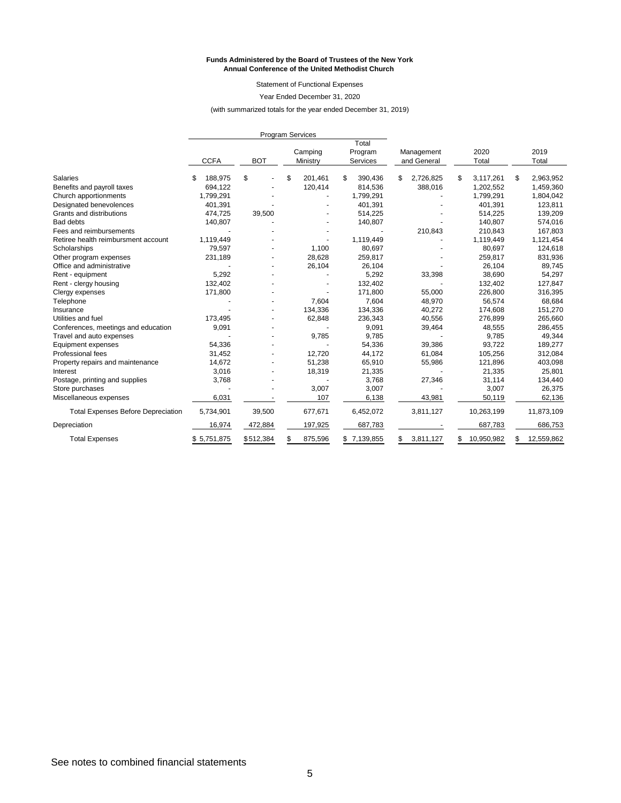#### **Funds Administered by the Board of Trustees of the New York Annual Conference of the United Methodist Church**

Statement of Functional Expenses

Year Ended December 31, 2020

(with summarized totals for the year ended December 31, 2019)

|                                           | <b>Program Services</b> |            |    |                     |                              |                           |                  |                  |
|-------------------------------------------|-------------------------|------------|----|---------------------|------------------------------|---------------------------|------------------|------------------|
|                                           | <b>CCFA</b>             | <b>BOT</b> |    | Camping<br>Ministry | Total<br>Program<br>Services | Management<br>and General | 2020<br>Total    | 2019<br>Total    |
|                                           |                         |            |    |                     |                              |                           |                  |                  |
| <b>Salaries</b>                           | 188,975<br>S            | \$         | S  | 201,461             | \$<br>390,436                | \$<br>2,726,825           | \$<br>3,117,261  | \$<br>2,963,952  |
| Benefits and payroll taxes                | 694,122                 |            |    | 120,414             | 814,536                      | 388,016                   | 1,202,552        | 1,459,360        |
| Church apportionments                     | 1,799,291               |            |    |                     | 1,799,291                    |                           | 1,799,291        | 1,804,042        |
| Designated benevolences                   | 401,391                 |            |    |                     | 401,391                      |                           | 401,391          | 123,811          |
| Grants and distributions                  | 474,725                 | 39,500     |    |                     | 514,225                      |                           | 514,225          | 139,209          |
| <b>Bad debts</b>                          | 140,807                 |            |    |                     | 140,807                      |                           | 140,807          | 574,016          |
| Fees and reimbursements                   |                         |            |    |                     |                              | 210,843                   | 210,843          | 167,803          |
| Retiree health reimbursment account       | 1,119,449               |            |    |                     | 1,119,449                    |                           | 1,119,449        | 1,121,454        |
| Scholarships                              | 79,597                  |            |    | 1,100               | 80,697                       |                           | 80,697           | 124,618          |
| Other program expenses                    | 231,189                 |            |    | 28,628              | 259,817                      |                           | 259,817          | 831,936          |
| Office and administrative                 |                         |            |    | 26,104              | 26,104                       |                           | 26,104           | 89,745           |
| Rent - equipment                          | 5,292                   |            |    |                     | 5,292                        | 33,398                    | 38,690           | 54,297           |
| Rent - clergy housing                     | 132,402                 |            |    |                     | 132,402                      |                           | 132,402          | 127,847          |
| Clergy expenses                           | 171,800                 |            |    |                     | 171,800                      | 55,000                    | 226,800          | 316,395          |
| Telephone                                 |                         |            |    | 7,604               | 7,604                        | 48,970                    | 56,574           | 68,684           |
| Insurance                                 |                         |            |    | 134,336             | 134,336                      | 40,272                    | 174,608          | 151,270          |
| Utilities and fuel                        | 173,495                 |            |    | 62,848              | 236,343                      | 40,556                    | 276,899          | 265,660          |
| Conferences, meetings and education       | 9,091                   |            |    |                     | 9,091                        | 39,464                    | 48,555           | 286,455          |
| Travel and auto expenses                  |                         |            |    | 9,785               | 9,785                        |                           | 9,785            | 49,344           |
| Equipment expenses                        | 54,336                  |            |    |                     | 54,336                       | 39,386                    | 93,722           | 189,277          |
| Professional fees                         | 31,452                  |            |    | 12,720              | 44,172                       | 61,084                    | 105,256          | 312,084          |
| Property repairs and maintenance          | 14,672                  |            |    | 51,238              | 65,910                       | 55,986                    | 121,896          | 403,098          |
| Interest                                  | 3,016                   |            |    | 18,319              | 21,335                       |                           | 21,335           | 25,801           |
| Postage, printing and supplies            | 3,768                   |            |    |                     | 3,768                        | 27,346                    | 31,114           | 134,440          |
| Store purchases                           |                         |            |    | 3,007               | 3,007                        |                           | 3,007            | 26,375           |
| Miscellaneous expenses                    | 6,031                   |            |    | 107                 | 6,138                        | 43,981                    | 50,119           | 62,136           |
| <b>Total Expenses Before Depreciation</b> | 5,734,901               | 39,500     |    | 677,671             | 6,452,072                    | 3,811,127                 | 10,263,199       | 11,873,109       |
| Depreciation                              | 16,974                  | 472,884    |    | 197,925             | 687,783                      |                           | 687,783          | 686,753          |
| <b>Total Expenses</b>                     | \$5,751,875             | \$512,384  | \$ | 875,596             | \$7,139,855                  | \$<br>3,811,127           | \$<br>10,950,982 | \$<br>12,559,862 |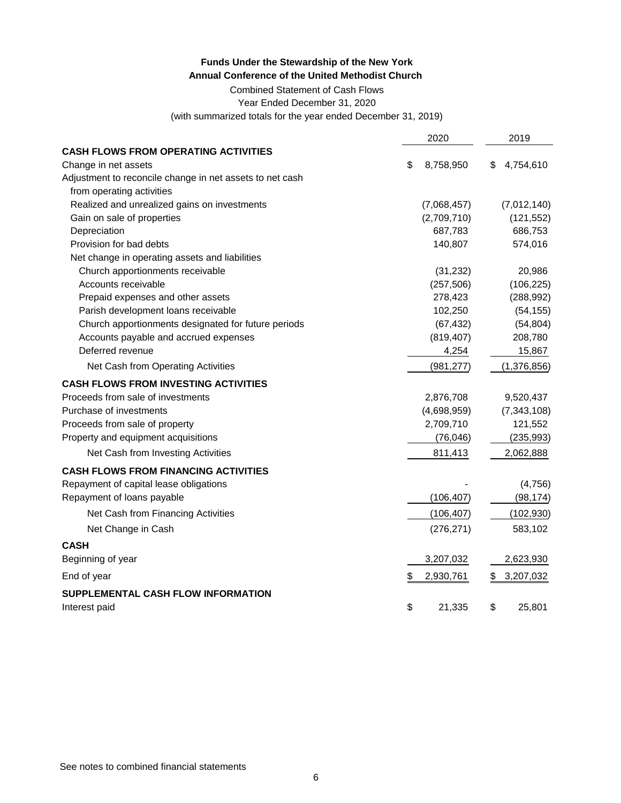Combined Statement of Cash Flows

Year Ended December 31, 2020

(with summarized totals for the year ended December 31, 2019)

|                                                          | 2020            |    | 2019          |
|----------------------------------------------------------|-----------------|----|---------------|
| <b>CASH FLOWS FROM OPERATING ACTIVITIES</b>              |                 |    |               |
| Change in net assets                                     | \$<br>8,758,950 | S  | 4,754,610     |
| Adjustment to reconcile change in net assets to net cash |                 |    |               |
| from operating activities                                |                 |    |               |
| Realized and unrealized gains on investments             | (7,068,457)     |    | (7,012,140)   |
| Gain on sale of properties                               | (2,709,710)     |    | (121, 552)    |
| Depreciation                                             | 687,783         |    | 686,753       |
| Provision for bad debts                                  | 140,807         |    | 574,016       |
| Net change in operating assets and liabilities           |                 |    |               |
| Church apportionments receivable                         | (31, 232)       |    | 20,986        |
| Accounts receivable                                      | (257, 506)      |    | (106, 225)    |
| Prepaid expenses and other assets                        | 278,423         |    | (288, 992)    |
| Parish development loans receivable                      | 102,250         |    | (54, 155)     |
| Church apportionments designated for future periods      | (67, 432)       |    | (54, 804)     |
| Accounts payable and accrued expenses                    | (819, 407)      |    | 208,780       |
| Deferred revenue                                         | 4,254           |    | 15,867        |
| Net Cash from Operating Activities                       | (981, 277)      |    | (1,376,856)   |
| <b>CASH FLOWS FROM INVESTING ACTIVITIES</b>              |                 |    |               |
| Proceeds from sale of investments                        | 2,876,708       |    | 9,520,437     |
| Purchase of investments                                  | (4,698,959)     |    | (7, 343, 108) |
| Proceeds from sale of property                           | 2,709,710       |    | 121,552       |
| Property and equipment acquisitions                      | (76, 046)       |    | (235, 993)    |
| Net Cash from Investing Activities                       | 811,413         |    | 2,062,888     |
| <b>CASH FLOWS FROM FINANCING ACTIVITIES</b>              |                 |    |               |
| Repayment of capital lease obligations                   |                 |    | (4, 756)      |
| Repayment of loans payable                               | (106, 407)      |    | (98, 174)     |
| Net Cash from Financing Activities                       | (106, 407)      |    | (102, 930)    |
| Net Change in Cash                                       | (276, 271)      |    | 583,102       |
| <b>CASH</b>                                              |                 |    |               |
| Beginning of year                                        | 3,207,032       |    | 2,623,930     |
| End of year                                              | \$<br>2,930,761 | \$ | 3,207,032     |
| SUPPLEMENTAL CASH FLOW INFORMATION                       |                 |    |               |
| Interest paid                                            | \$<br>21,335    | \$ | 25,801        |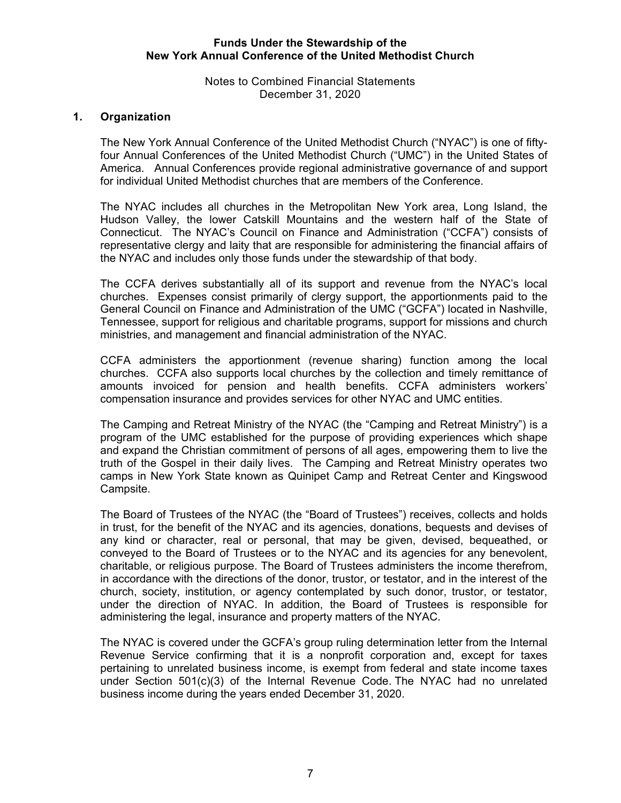Notes to Combined Financial Statements December 31, 2020

## **1. Organization**

The New York Annual Conference of the United Methodist Church ("NYAC") is one of fiftyfour Annual Conferences of the United Methodist Church ("UMC") in the United States of America. Annual Conferences provide regional administrative governance of and support for individual United Methodist churches that are members of the Conference.

The NYAC includes all churches in the Metropolitan New York area, Long Island, the Hudson Valley, the lower Catskill Mountains and the western half of the State of Connecticut. The NYAC's Council on Finance and Administration ("CCFA") consists of representative clergy and laity that are responsible for administering the financial affairs of the NYAC and includes only those funds under the stewardship of that body.

The CCFA derives substantially all of its support and revenue from the NYAC's local churches. Expenses consist primarily of clergy support, the apportionments paid to the General Council on Finance and Administration of the UMC ("GCFA") located in Nashville, Tennessee, support for religious and charitable programs, support for missions and church ministries, and management and financial administration of the NYAC.

CCFA administers the apportionment (revenue sharing) function among the local churches. CCFA also supports local churches by the collection and timely remittance of amounts invoiced for pension and health benefits. CCFA administers workers' compensation insurance and provides services for other NYAC and UMC entities.

The Camping and Retreat Ministry of the NYAC (the "Camping and Retreat Ministry") is a program of the UMC established for the purpose of providing experiences which shape and expand the Christian commitment of persons of all ages, empowering them to live the truth of the Gospel in their daily lives. The Camping and Retreat Ministry operates two camps in New York State known as Quinipet Camp and Retreat Center and Kingswood Campsite.

The Board of Trustees of the NYAC (the "Board of Trustees") receives, collects and holds in trust, for the benefit of the NYAC and its agencies, donations, bequests and devises of any kind or character, real or personal, that may be given, devised, bequeathed, or conveyed to the Board of Trustees or to the NYAC and its agencies for any benevolent, charitable, or religious purpose. The Board of Trustees administers the income therefrom, in accordance with the directions of the donor, trustor, or testator, and in the interest of the church, society, institution, or agency contemplated by such donor, trustor, or testator, under the direction of NYAC. In addition, the Board of Trustees is responsible for administering the legal, insurance and property matters of the NYAC.

The NYAC is covered under the GCFA's group ruling determination letter from the Internal Revenue Service confirming that it is a nonprofit corporation and, except for taxes pertaining to unrelated business income, is exempt from federal and state income taxes under Section 501(c)(3) of the Internal Revenue Code. The NYAC had no unrelated business income during the years ended December 31, 2020.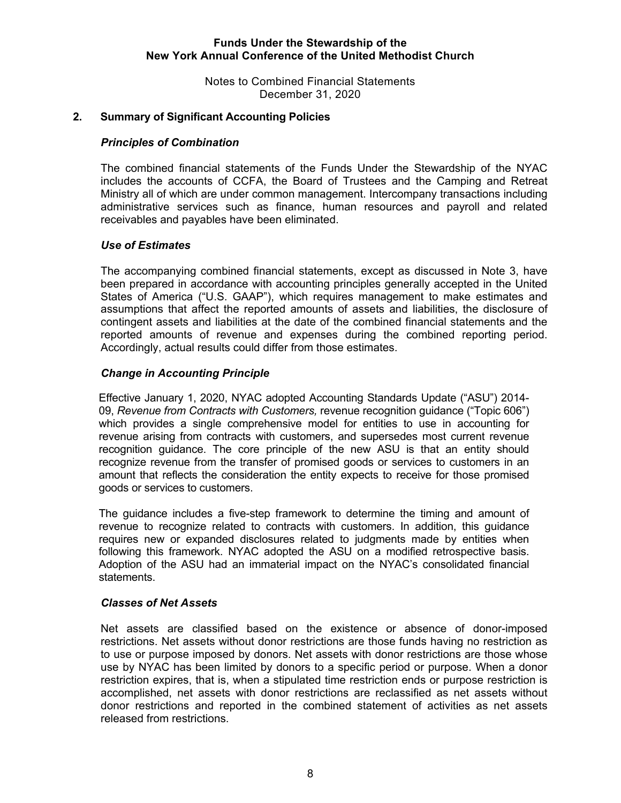Notes to Combined Financial Statements December 31, 2020

## **2. Summary of Significant Accounting Policies**

#### *Principles of Combination*

The combined financial statements of the Funds Under the Stewardship of the NYAC includes the accounts of CCFA, the Board of Trustees and the Camping and Retreat Ministry all of which are under common management. Intercompany transactions including administrative services such as finance, human resources and payroll and related receivables and payables have been eliminated.

### *Use of Estimates*

The accompanying combined financial statements, except as discussed in Note 3, have been prepared in accordance with accounting principles generally accepted in the United States of America ("U.S. GAAP"), which requires management to make estimates and assumptions that affect the reported amounts of assets and liabilities, the disclosure of contingent assets and liabilities at the date of the combined financial statements and the reported amounts of revenue and expenses during the combined reporting period. Accordingly, actual results could differ from those estimates.

### *Change in Accounting Principle*

Effective January 1, 2020, NYAC adopted Accounting Standards Update ("ASU") 2014- 09, *Revenue from Contracts with Customers,* revenue recognition guidance ("Topic 606") which provides a single comprehensive model for entities to use in accounting for revenue arising from contracts with customers, and supersedes most current revenue recognition guidance. The core principle of the new ASU is that an entity should recognize revenue from the transfer of promised goods or services to customers in an amount that reflects the consideration the entity expects to receive for those promised goods or services to customers.

The guidance includes a five-step framework to determine the timing and amount of revenue to recognize related to contracts with customers. In addition, this guidance requires new or expanded disclosures related to judgments made by entities when following this framework. NYAC adopted the ASU on a modified retrospective basis. Adoption of the ASU had an immaterial impact on the NYAC's consolidated financial statements.

#### *Classes of Net Assets*

Net assets are classified based on the existence or absence of donor-imposed restrictions. Net assets without donor restrictions are those funds having no restriction as to use or purpose imposed by donors. Net assets with donor restrictions are those whose use by NYAC has been limited by donors to a specific period or purpose. When a donor restriction expires, that is, when a stipulated time restriction ends or purpose restriction is accomplished, net assets with donor restrictions are reclassified as net assets without donor restrictions and reported in the combined statement of activities as net assets released from restrictions.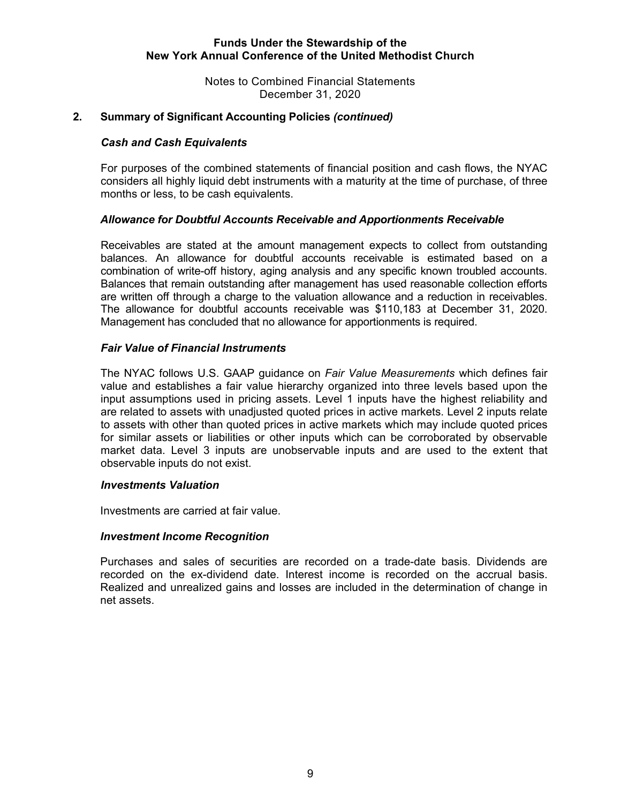Notes to Combined Financial Statements December 31, 2020

## **2. Summary of Significant Accounting Policies** *(continued)*

### *Cash and Cash Equivalents*

For purposes of the combined statements of financial position and cash flows, the NYAC considers all highly liquid debt instruments with a maturity at the time of purchase, of three months or less, to be cash equivalents.

### *Allowance for Doubtful Accounts Receivable and Apportionments Receivable*

Receivables are stated at the amount management expects to collect from outstanding balances. An allowance for doubtful accounts receivable is estimated based on a combination of write-off history, aging analysis and any specific known troubled accounts. Balances that remain outstanding after management has used reasonable collection efforts are written off through a charge to the valuation allowance and a reduction in receivables. The allowance for doubtful accounts receivable was \$110,183 at December 31, 2020. Management has concluded that no allowance for apportionments is required.

### *Fair Value of Financial Instruments*

 The NYAC follows U.S. GAAP guidance on *Fair Value Measurements* which defines fair value and establishes a fair value hierarchy organized into three levels based upon the input assumptions used in pricing assets. Level 1 inputs have the highest reliability and are related to assets with unadjusted quoted prices in active markets. Level 2 inputs relate to assets with other than quoted prices in active markets which may include quoted prices for similar assets or liabilities or other inputs which can be corroborated by observable market data. Level 3 inputs are unobservable inputs and are used to the extent that observable inputs do not exist.

#### *Investments Valuation*

Investments are carried at fair value.

#### *Investment Income Recognition*

Purchases and sales of securities are recorded on a trade-date basis. Dividends are recorded on the ex-dividend date. Interest income is recorded on the accrual basis. Realized and unrealized gains and losses are included in the determination of change in net assets.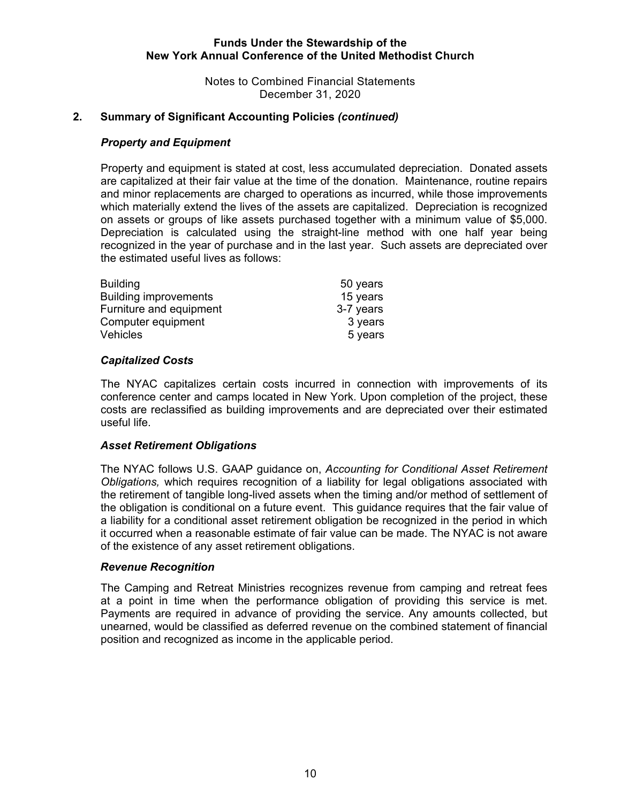Notes to Combined Financial Statements December 31, 2020

## **2. Summary of Significant Accounting Policies** *(continued)*

## *Property and Equipment*

Property and equipment is stated at cost, less accumulated depreciation. Donated assets are capitalized at their fair value at the time of the donation. Maintenance, routine repairs and minor replacements are charged to operations as incurred, while those improvements which materially extend the lives of the assets are capitalized. Depreciation is recognized on assets or groups of like assets purchased together with a minimum value of \$5,000. Depreciation is calculated using the straight-line method with one half year being recognized in the year of purchase and in the last year. Such assets are depreciated over the estimated useful lives as follows:

| <b>Building</b>              | 50 years  |
|------------------------------|-----------|
| <b>Building improvements</b> | 15 years  |
| Furniture and equipment      | 3-7 years |
| Computer equipment           | 3 years   |
| <b>Vehicles</b>              | 5 years   |

## *Capitalized Costs*

The NYAC capitalizes certain costs incurred in connection with improvements of its conference center and camps located in New York. Upon completion of the project, these costs are reclassified as building improvements and are depreciated over their estimated useful life.

## *Asset Retirement Obligations*

 The NYAC follows U.S. GAAP guidance on, *Accounting for Conditional Asset Retirement Obligations,* which requires recognition of a liability for legal obligations associated with the retirement of tangible long-lived assets when the timing and/or method of settlement of the obligation is conditional on a future event. This guidance requires that the fair value of a liability for a conditional asset retirement obligation be recognized in the period in which it occurred when a reasonable estimate of fair value can be made. The NYAC is not aware of the existence of any asset retirement obligations.

## *Revenue Recognition*

The Camping and Retreat Ministries recognizes revenue from camping and retreat fees at a point in time when the performance obligation of providing this service is met. Payments are required in advance of providing the service. Any amounts collected, but unearned, would be classified as deferred revenue on the combined statement of financial position and recognized as income in the applicable period.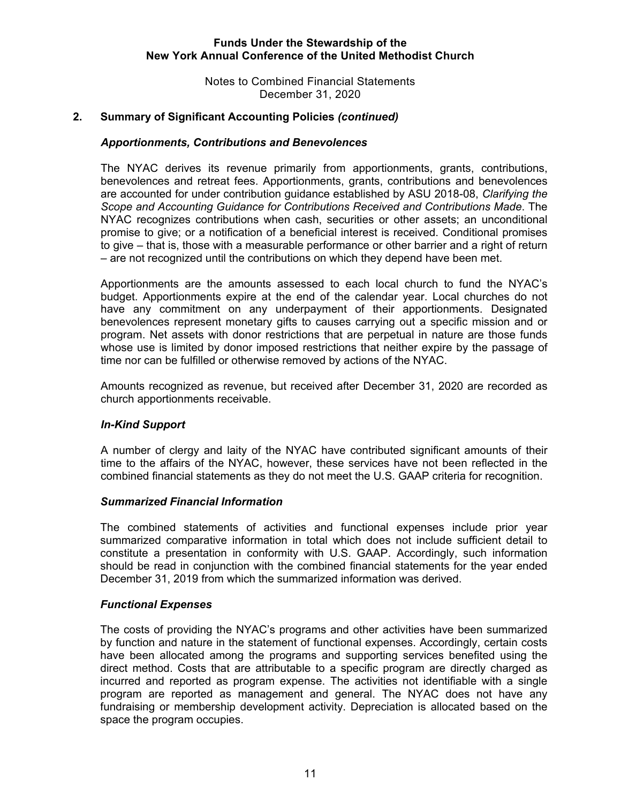Notes to Combined Financial Statements December 31, 2020

## **2. Summary of Significant Accounting Policies** *(continued)*

#### *Apportionments, Contributions and Benevolences*

The NYAC derives its revenue primarily from apportionments, grants, contributions, benevolences and retreat fees. Apportionments, grants, contributions and benevolences are accounted for under contribution guidance established by ASU 2018-08, *Clarifying the Scope and Accounting Guidance for Contributions Received and Contributions Made*. The NYAC recognizes contributions when cash, securities or other assets; an unconditional promise to give; or a notification of a beneficial interest is received. Conditional promises to give – that is, those with a measurable performance or other barrier and a right of return – are not recognized until the contributions on which they depend have been met.

Apportionments are the amounts assessed to each local church to fund the NYAC's budget. Apportionments expire at the end of the calendar year. Local churches do not have any commitment on any underpayment of their apportionments. Designated benevolences represent monetary gifts to causes carrying out a specific mission and or program. Net assets with donor restrictions that are perpetual in nature are those funds whose use is limited by donor imposed restrictions that neither expire by the passage of time nor can be fulfilled or otherwise removed by actions of the NYAC.

Amounts recognized as revenue, but received after December 31, 2020 are recorded as church apportionments receivable.

#### *In-Kind Support*

A number of clergy and laity of the NYAC have contributed significant amounts of their time to the affairs of the NYAC, however, these services have not been reflected in the combined financial statements as they do not meet the U.S. GAAP criteria for recognition.

#### *Summarized Financial Information*

The combined statements of activities and functional expenses include prior year summarized comparative information in total which does not include sufficient detail to constitute a presentation in conformity with U.S. GAAP. Accordingly, such information should be read in conjunction with the combined financial statements for the year ended December 31, 2019 from which the summarized information was derived.

#### *Functional Expenses*

The costs of providing the NYAC's programs and other activities have been summarized by function and nature in the statement of functional expenses. Accordingly, certain costs have been allocated among the programs and supporting services benefited using the direct method. Costs that are attributable to a specific program are directly charged as incurred and reported as program expense. The activities not identifiable with a single program are reported as management and general. The NYAC does not have any fundraising or membership development activity. Depreciation is allocated based on the space the program occupies.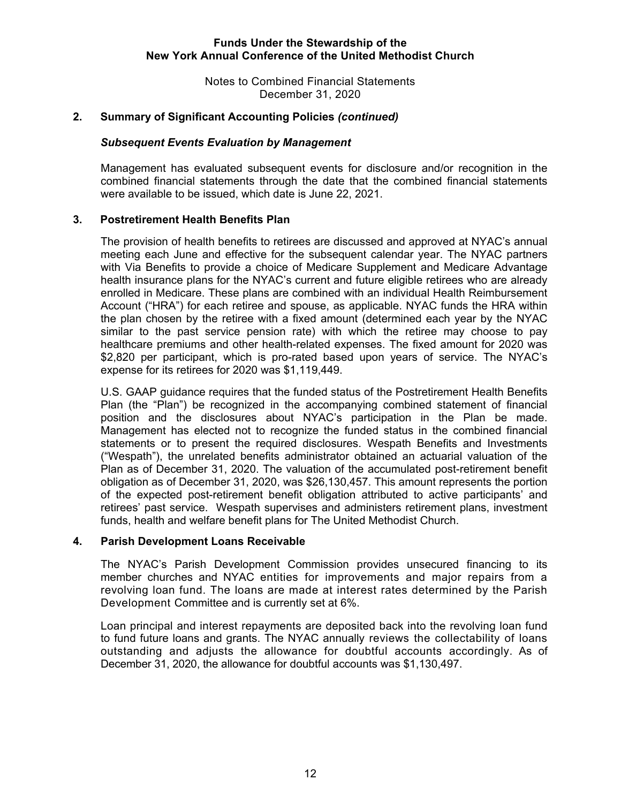Notes to Combined Financial Statements December 31, 2020

## **2. Summary of Significant Accounting Policies** *(continued)*

#### *Subsequent Events Evaluation by Management*

Management has evaluated subsequent events for disclosure and/or recognition in the combined financial statements through the date that the combined financial statements were available to be issued, which date is June 22, 2021.

### **3. Postretirement Health Benefits Plan**

The provision of health benefits to retirees are discussed and approved at NYAC's annual meeting each June and effective for the subsequent calendar year. The NYAC partners with Via Benefits to provide a choice of Medicare Supplement and Medicare Advantage health insurance plans for the NYAC's current and future eligible retirees who are already enrolled in Medicare. These plans are combined with an individual Health Reimbursement Account ("HRA") for each retiree and spouse, as applicable. NYAC funds the HRA within the plan chosen by the retiree with a fixed amount (determined each year by the NYAC similar to the past service pension rate) with which the retiree may choose to pay healthcare premiums and other health-related expenses. The fixed amount for 2020 was \$2,820 per participant, which is pro-rated based upon years of service. The NYAC's expense for its retirees for 2020 was \$1,119,449.

U.S. GAAP guidance requires that the funded status of the Postretirement Health Benefits Plan (the "Plan") be recognized in the accompanying combined statement of financial position and the disclosures about NYAC's participation in the Plan be made. Management has elected not to recognize the funded status in the combined financial statements or to present the required disclosures. Wespath Benefits and Investments ("Wespath"), the unrelated benefits administrator obtained an actuarial valuation of the Plan as of December 31, 2020. The valuation of the accumulated post-retirement benefit obligation as of December 31, 2020, was \$26,130,457. This amount represents the portion of the expected post-retirement benefit obligation attributed to active participants' and retirees' past service. Wespath supervises and administers retirement plans, investment funds, health and welfare benefit plans for The United Methodist Church.

#### **4. Parish Development Loans Receivable**

The NYAC's Parish Development Commission provides unsecured financing to its member churches and NYAC entities for improvements and major repairs from a revolving loan fund. The loans are made at interest rates determined by the Parish Development Committee and is currently set at 6%.

Loan principal and interest repayments are deposited back into the revolving loan fund to fund future loans and grants. The NYAC annually reviews the collectability of loans outstanding and adjusts the allowance for doubtful accounts accordingly. As of December 31, 2020, the allowance for doubtful accounts was \$1,130,497.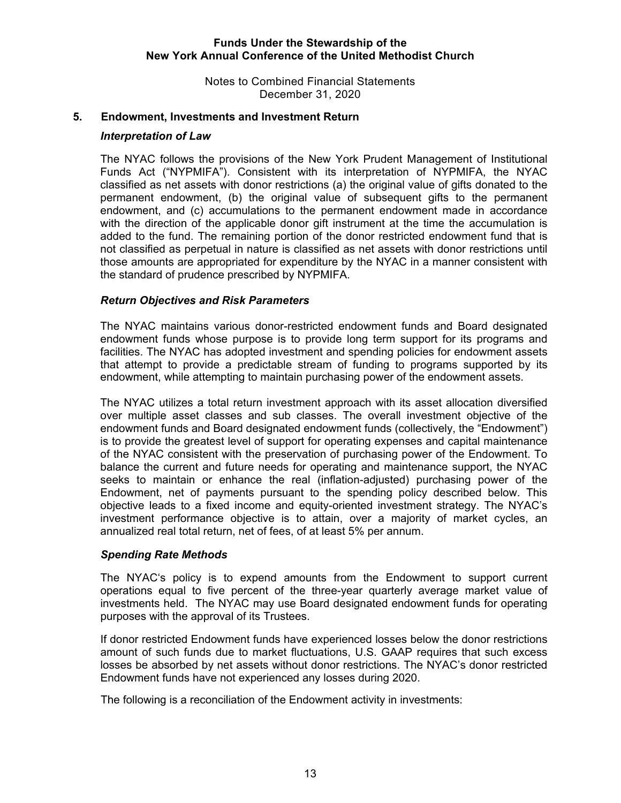Notes to Combined Financial Statements December 31, 2020

### **5. Endowment, Investments and Investment Return**

#### *Interpretation of Law*

 The NYAC follows the provisions of the New York Prudent Management of Institutional Funds Act ("NYPMIFA"). Consistent with its interpretation of NYPMIFA, the NYAC classified as net assets with donor restrictions (a) the original value of gifts donated to the permanent endowment, (b) the original value of subsequent gifts to the permanent endowment, and (c) accumulations to the permanent endowment made in accordance with the direction of the applicable donor gift instrument at the time the accumulation is added to the fund. The remaining portion of the donor restricted endowment fund that is not classified as perpetual in nature is classified as net assets with donor restrictions until those amounts are appropriated for expenditure by the NYAC in a manner consistent with the standard of prudence prescribed by NYPMIFA.

## *Return Objectives and Risk Parameters*

The NYAC maintains various donor-restricted endowment funds and Board designated endowment funds whose purpose is to provide long term support for its programs and facilities. The NYAC has adopted investment and spending policies for endowment assets that attempt to provide a predictable stream of funding to programs supported by its endowment, while attempting to maintain purchasing power of the endowment assets.

The NYAC utilizes a total return investment approach with its asset allocation diversified over multiple asset classes and sub classes. The overall investment objective of the endowment funds and Board designated endowment funds (collectively, the "Endowment") is to provide the greatest level of support for operating expenses and capital maintenance of the NYAC consistent with the preservation of purchasing power of the Endowment. To balance the current and future needs for operating and maintenance support, the NYAC seeks to maintain or enhance the real (inflation-adjusted) purchasing power of the Endowment, net of payments pursuant to the spending policy described below. This objective leads to a fixed income and equity-oriented investment strategy. The NYAC's investment performance objective is to attain, over a majority of market cycles, an annualized real total return, net of fees, of at least 5% per annum.

## *Spending Rate Methods*

The NYAC's policy is to expend amounts from the Endowment to support current operations equal to five percent of the three-year quarterly average market value of investments held. The NYAC may use Board designated endowment funds for operating purposes with the approval of its Trustees.

If donor restricted Endowment funds have experienced losses below the donor restrictions amount of such funds due to market fluctuations, U.S. GAAP requires that such excess losses be absorbed by net assets without donor restrictions. The NYAC's donor restricted Endowment funds have not experienced any losses during 2020.

The following is a reconciliation of the Endowment activity in investments: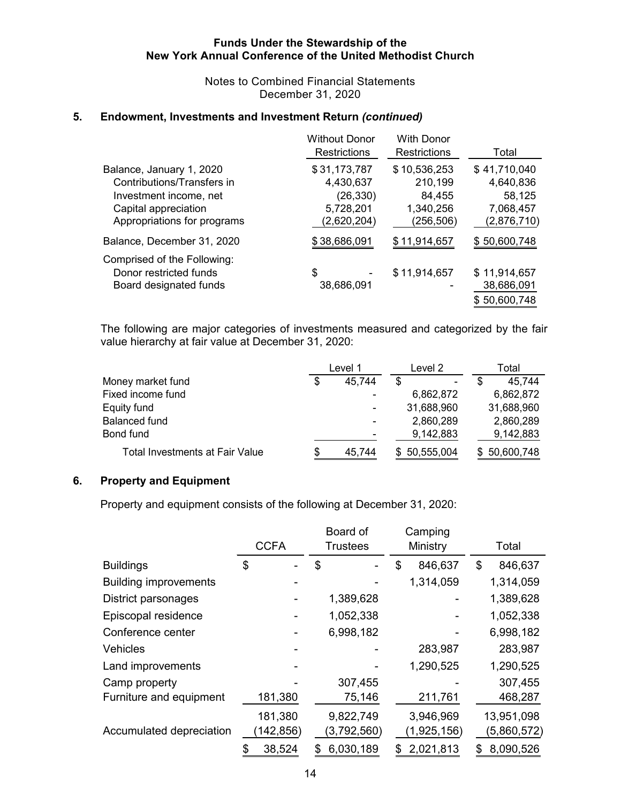Notes to Combined Financial Statements December 31, 2020

## **5. Endowment, Investments and Investment Return** *(continued)*

|                                                                                                                                         | <b>Without Donor</b><br><b>Restrictions</b>                        | With Donor<br><b>Restrictions</b>                            | Total                                                           |
|-----------------------------------------------------------------------------------------------------------------------------------------|--------------------------------------------------------------------|--------------------------------------------------------------|-----------------------------------------------------------------|
| Balance, January 1, 2020<br>Contributions/Transfers in<br>Investment income, net<br>Capital appreciation<br>Appropriations for programs | \$31,173,787<br>4,430,637<br>(26, 330)<br>5,728,201<br>(2,620,204) | \$10,536,253<br>210,199<br>84,455<br>1,340,256<br>(256, 506) | \$41,710,040<br>4,640,836<br>58,125<br>7,068,457<br>(2,876,710) |
| Balance, December 31, 2020                                                                                                              | \$38,686,091                                                       | \$11,914,657                                                 | \$50,600,748                                                    |
| Comprised of the Following:<br>Donor restricted funds<br>Board designated funds                                                         | \$<br>38,686,091                                                   | \$11,914,657                                                 | \$11,914,657<br>38,686,091<br>\$50,600,748                      |

The following are major categories of investments measured and categorized by the fair value hierarchy at fair value at December 31, 2020:

|                                        | Level 1                  | Level 2      | Total            |
|----------------------------------------|--------------------------|--------------|------------------|
| Money market fund                      | \$<br>45,744             | S<br>-       | 45.744           |
| Fixed income fund                      |                          | 6,862,872    | 6,862,872        |
| Equity fund                            |                          | 31,688,960   | 31,688,960       |
| <b>Balanced fund</b>                   |                          | 2,860,289    | 2,860,289        |
| Bond fund                              | $\overline{\phantom{0}}$ | 9,142,883    | 9,142,883        |
| <b>Total Investments at Fair Value</b> | \$<br>45,744             | \$50,555,004 | 50,600,748<br>S. |

## **6. Property and Equipment**

Property and equipment consists of the following at December 31, 2020:

|                              | <b>CCFA</b>           | Board of<br><b>Trustees</b> | Camping<br>Ministry      | Total                     |
|------------------------------|-----------------------|-----------------------------|--------------------------|---------------------------|
| <b>Buildings</b>             | \$                    | \$                          | \$<br>846,637            | 846,637<br>\$             |
| <b>Building improvements</b> |                       |                             | 1,314,059                | 1,314,059                 |
| District parsonages          |                       | 1,389,628                   |                          | 1,389,628                 |
| Episcopal residence          |                       | 1,052,338                   |                          | 1,052,338                 |
| Conference center            |                       | 6,998,182                   |                          | 6,998,182                 |
| <b>Vehicles</b>              |                       |                             | 283,987                  | 283,987                   |
| Land improvements            |                       |                             | 1,290,525                | 1,290,525                 |
| Camp property                |                       | 307,455                     |                          | 307,455                   |
| Furniture and equipment      | 181,380               | 75,146                      | 211,761                  | 468,287                   |
| Accumulated depreciation     | 181,380<br>(142, 856) | 9,822,749<br>(3,792,560)    | 3,946,969<br>(1,925,156) | 13,951,098<br>(5,860,572) |
|                              | 38,524                | 6,030,189<br>S              | 2,021,813                | 8,090,526<br>S            |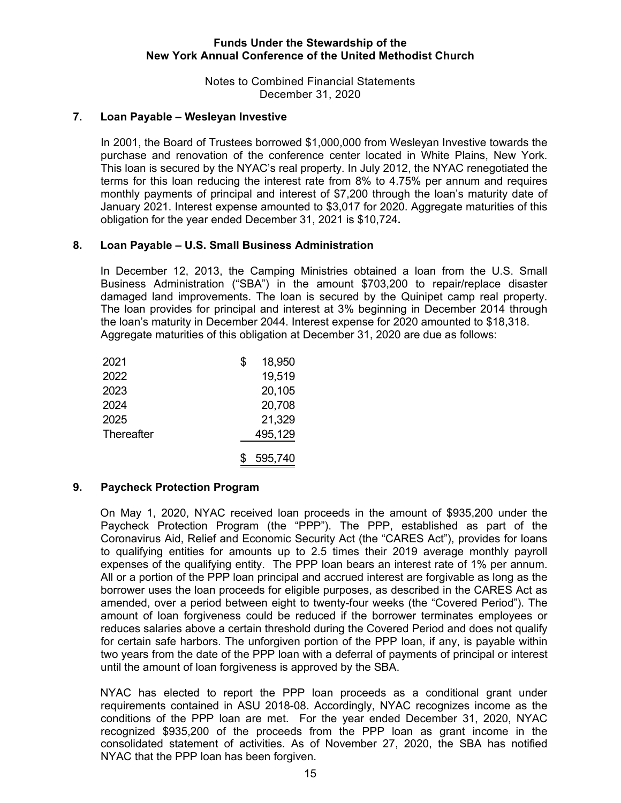Notes to Combined Financial Statements December 31, 2020

## **7. Loan Payable – Wesleyan Investive**

In 2001, the Board of Trustees borrowed \$1,000,000 from Wesleyan Investive towards the purchase and renovation of the conference center located in White Plains, New York. This loan is secured by the NYAC's real property. In July 2012, the NYAC renegotiated the terms for this loan reducing the interest rate from 8% to 4.75% per annum and requires monthly payments of principal and interest of \$7,200 through the loan's maturity date of January 2021. Interest expense amounted to \$3,017 for 2020. Aggregate maturities of this obligation for the year ended December 31, 2021 is \$10,724**.** 

### **8. Loan Payable – U.S. Small Business Administration**

 In December 12, 2013, the Camping Ministries obtained a loan from the U.S. Small Business Administration ("SBA") in the amount \$703,200 to repair/replace disaster damaged land improvements. The loan is secured by the Quinipet camp real property. The loan provides for principal and interest at 3% beginning in December 2014 through the loan's maturity in December 2044. Interest expense for 2020 amounted to \$18,318. Aggregate maturities of this obligation at December 31, 2020 are due as follows:

| 2021       | \$<br>18,950 |
|------------|--------------|
| 2022       | 19,519       |
| 2023       | 20,105       |
| 2024       | 20,708       |
| 2025       | 21,329       |
| Thereafter | 495,129      |
|            | 595,740      |

#### **9. Paycheck Protection Program**

On May 1, 2020, NYAC received loan proceeds in the amount of \$935,200 under the Paycheck Protection Program (the "PPP"). The PPP, established as part of the Coronavirus Aid, Relief and Economic Security Act (the "CARES Act"), provides for loans to qualifying entities for amounts up to 2.5 times their 2019 average monthly payroll expenses of the qualifying entity. The PPP loan bears an interest rate of 1% per annum. All or a portion of the PPP loan principal and accrued interest are forgivable as long as the borrower uses the loan proceeds for eligible purposes, as described in the CARES Act as amended, over a period between eight to twenty-four weeks (the "Covered Period"). The amount of loan forgiveness could be reduced if the borrower terminates employees or reduces salaries above a certain threshold during the Covered Period and does not qualify for certain safe harbors. The unforgiven portion of the PPP loan, if any, is payable within two years from the date of the PPP loan with a deferral of payments of principal or interest until the amount of loan forgiveness is approved by the SBA.

 NYAC has elected to report the PPP loan proceeds as a conditional grant under requirements contained in ASU 2018-08. Accordingly, NYAC recognizes income as the conditions of the PPP loan are met. For the year ended December 31, 2020, NYAC recognized \$935,200 of the proceeds from the PPP loan as grant income in the consolidated statement of activities. As of November 27, 2020, the SBA has notified NYAC that the PPP loan has been forgiven.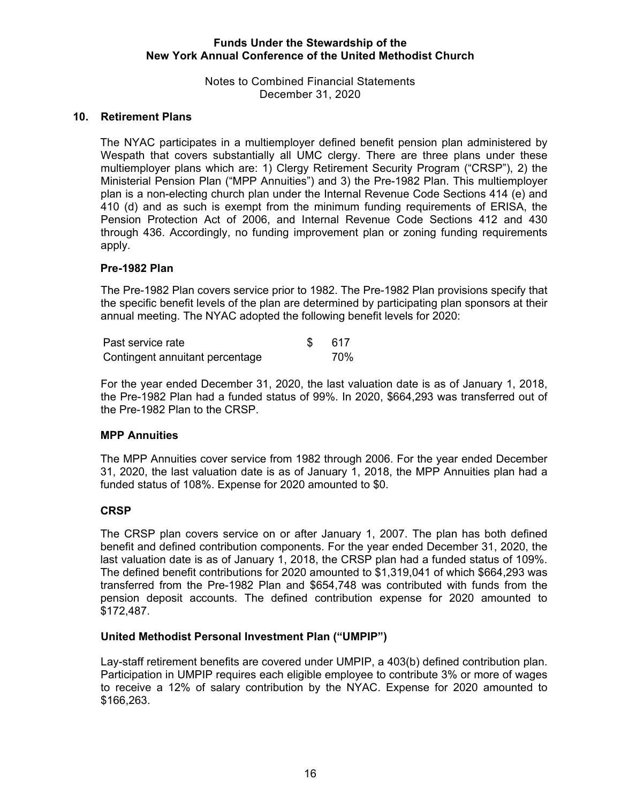Notes to Combined Financial Statements December 31, 2020

## **10. Retirement Plans**

The NYAC participates in a multiemployer defined benefit pension plan administered by Wespath that covers substantially all UMC clergy. There are three plans under these multiemployer plans which are: 1) Clergy Retirement Security Program ("CRSP"), 2) the Ministerial Pension Plan ("MPP Annuities") and 3) the Pre-1982 Plan. This multiemployer plan is a non-electing church plan under the Internal Revenue Code Sections 414 (e) and 410 (d) and as such is exempt from the minimum funding requirements of ERISA, the Pension Protection Act of 2006, and Internal Revenue Code Sections 412 and 430 through 436. Accordingly, no funding improvement plan or zoning funding requirements apply.

### **Pre-1982 Plan**

The Pre-1982 Plan covers service prior to 1982. The Pre-1982 Plan provisions specify that the specific benefit levels of the plan are determined by participating plan sponsors at their annual meeting. The NYAC adopted the following benefit levels for 2020:

| Past service rate               |  | -617 |
|---------------------------------|--|------|
| Contingent annuitant percentage |  | 70%  |

For the year ended December 31, 2020, the last valuation date is as of January 1, 2018, the Pre-1982 Plan had a funded status of 99%. In 2020, \$664,293 was transferred out of the Pre-1982 Plan to the CRSP.

## **MPP Annuities**

The MPP Annuities cover service from 1982 through 2006. For the year ended December 31, 2020, the last valuation date is as of January 1, 2018, the MPP Annuities plan had a funded status of 108%. Expense for 2020 amounted to \$0.

## **CRSP**

The CRSP plan covers service on or after January 1, 2007. The plan has both defined benefit and defined contribution components. For the year ended December 31, 2020, the last valuation date is as of January 1, 2018, the CRSP plan had a funded status of 109%. The defined benefit contributions for 2020 amounted to \$1,319,041 of which \$664,293 was transferred from the Pre-1982 Plan and \$654,748 was contributed with funds from the pension deposit accounts. The defined contribution expense for 2020 amounted to \$172,487.

#### **United Methodist Personal Investment Plan ("UMPIP")**

Lay-staff retirement benefits are covered under UMPIP, a 403(b) defined contribution plan. Participation in UMPIP requires each eligible employee to contribute 3% or more of wages to receive a 12% of salary contribution by the NYAC. Expense for 2020 amounted to \$166,263.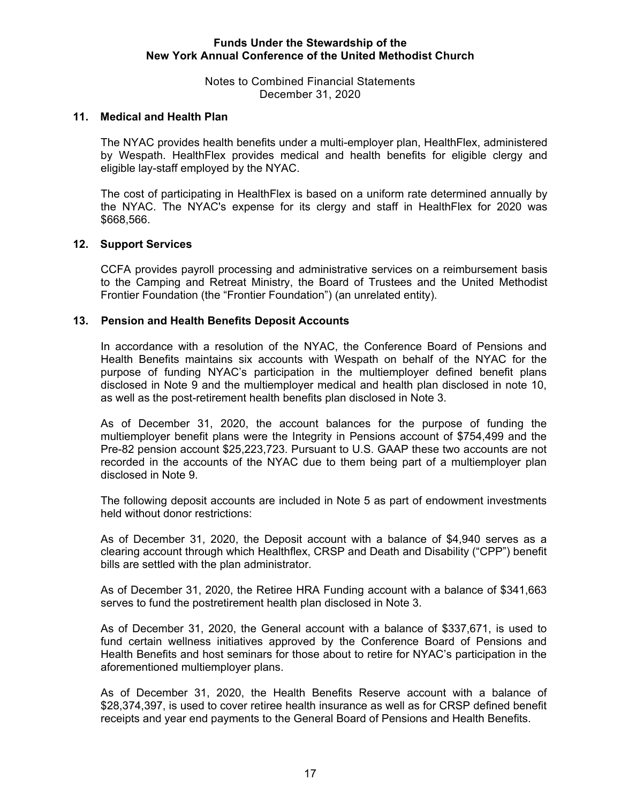Notes to Combined Financial Statements December 31, 2020

### **11. Medical and Health Plan**

The NYAC provides health benefits under a multi-employer plan, HealthFlex, administered by Wespath. HealthFlex provides medical and health benefits for eligible clergy and eligible lay-staff employed by the NYAC.

The cost of participating in HealthFlex is based on a uniform rate determined annually by the NYAC. The NYAC's expense for its clergy and staff in HealthFlex for 2020 was \$668,566.

#### **12. Support Services**

CCFA provides payroll processing and administrative services on a reimbursement basis to the Camping and Retreat Ministry, the Board of Trustees and the United Methodist Frontier Foundation (the "Frontier Foundation") (an unrelated entity).

#### **13. Pension and Health Benefits Deposit Accounts**

In accordance with a resolution of the NYAC, the Conference Board of Pensions and Health Benefits maintains six accounts with Wespath on behalf of the NYAC for the purpose of funding NYAC's participation in the multiemployer defined benefit plans disclosed in Note 9 and the multiemployer medical and health plan disclosed in note 10, as well as the post-retirement health benefits plan disclosed in Note 3.

As of December 31, 2020, the account balances for the purpose of funding the multiemployer benefit plans were the Integrity in Pensions account of \$754,499 and the Pre-82 pension account \$25,223,723. Pursuant to U.S. GAAP these two accounts are not recorded in the accounts of the NYAC due to them being part of a multiemployer plan disclosed in Note 9.

The following deposit accounts are included in Note 5 as part of endowment investments held without donor restrictions:

As of December 31, 2020, the Deposit account with a balance of \$4,940 serves as a clearing account through which Healthflex, CRSP and Death and Disability ("CPP") benefit bills are settled with the plan administrator.

As of December 31, 2020, the Retiree HRA Funding account with a balance of \$341,663 serves to fund the postretirement health plan disclosed in Note 3.

As of December 31, 2020, the General account with a balance of \$337,671, is used to fund certain wellness initiatives approved by the Conference Board of Pensions and Health Benefits and host seminars for those about to retire for NYAC's participation in the aforementioned multiemployer plans.

As of December 31, 2020, the Health Benefits Reserve account with a balance of \$28,374,397, is used to cover retiree health insurance as well as for CRSP defined benefit receipts and year end payments to the General Board of Pensions and Health Benefits.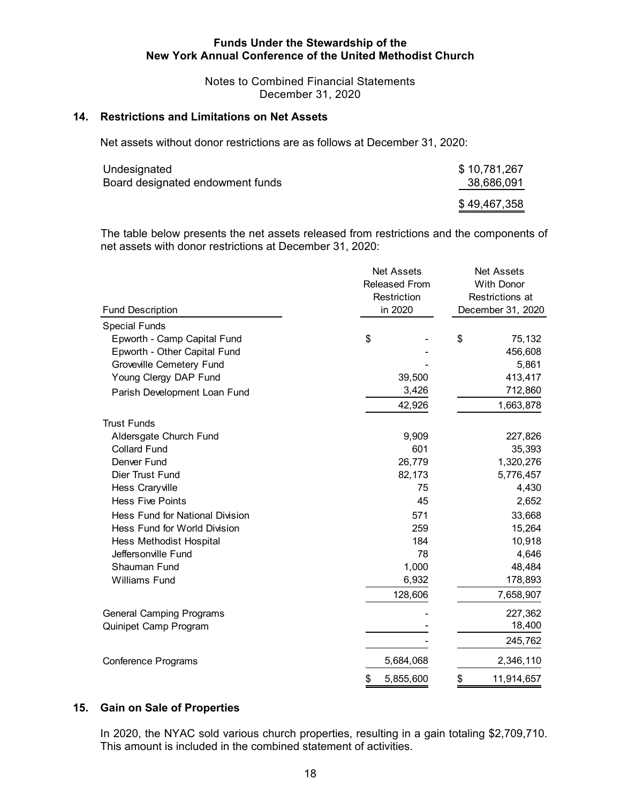Notes to Combined Financial Statements December 31, 2020

#### **14. Restrictions and Limitations on Net Assets**

Net assets without donor restrictions are as follows at December 31, 2020:

| Undesignated                     | \$10,781,267 |
|----------------------------------|--------------|
| Board designated endowment funds | 38,686,091   |
|                                  | \$49,467,358 |

The table below presents the net assets released from restrictions and the components of net assets with donor restrictions at December 31, 2020:

| <b>Fund Description</b>                | <b>Net Assets</b><br><b>Released From</b><br>Restriction<br>in 2020 | <b>Net Assets</b><br><b>With Donor</b><br>Restrictions at<br>December 31, 2020 |  |  |
|----------------------------------------|---------------------------------------------------------------------|--------------------------------------------------------------------------------|--|--|
| <b>Special Funds</b>                   |                                                                     |                                                                                |  |  |
| Epworth - Camp Capital Fund            | \$                                                                  | \$<br>75,132                                                                   |  |  |
| Epworth - Other Capital Fund           |                                                                     | 456,608                                                                        |  |  |
| <b>Groveville Cemetery Fund</b>        |                                                                     | 5,861                                                                          |  |  |
| Young Clergy DAP Fund                  | 39,500                                                              | 413,417                                                                        |  |  |
| Parish Development Loan Fund           | 3,426                                                               | 712,860                                                                        |  |  |
|                                        | 42,926                                                              | 1,663,878                                                                      |  |  |
| <b>Trust Funds</b>                     |                                                                     |                                                                                |  |  |
| Aldersgate Church Fund                 | 9,909                                                               | 227,826                                                                        |  |  |
| <b>Collard Fund</b>                    | 601                                                                 | 35,393                                                                         |  |  |
| Denver Fund                            | 26,779                                                              | 1,320,276                                                                      |  |  |
| Dier Trust Fund                        | 82,173                                                              | 5,776,457                                                                      |  |  |
| Hess Craryville                        | 75                                                                  | 4,430                                                                          |  |  |
| <b>Hess Five Points</b>                | 45                                                                  | 2,652                                                                          |  |  |
| <b>Hess Fund for National Division</b> | 571                                                                 | 33,668                                                                         |  |  |
| Hess Fund for World Division           | 259                                                                 | 15,264                                                                         |  |  |
| Hess Methodist Hospital                | 184                                                                 | 10,918                                                                         |  |  |
| Jeffersonville Fund                    | 78                                                                  | 4,646                                                                          |  |  |
| Shauman Fund                           | 1,000                                                               | 48,484                                                                         |  |  |
| <b>Williams Fund</b>                   | 6,932                                                               | 178,893                                                                        |  |  |
|                                        | 128,606                                                             | 7,658,907                                                                      |  |  |
| <b>General Camping Programs</b>        |                                                                     | 227,362                                                                        |  |  |
| Quinipet Camp Program                  |                                                                     | 18,400                                                                         |  |  |
|                                        |                                                                     | 245,762                                                                        |  |  |
| <b>Conference Programs</b>             | 5,684,068                                                           | 2,346,110                                                                      |  |  |
|                                        | \$<br>5,855,600                                                     | \$<br>11,914,657                                                               |  |  |

#### **15. Gain on Sale of Properties**

In 2020, the NYAC sold various church properties, resulting in a gain totaling \$2,709,710. This amount is included in the combined statement of activities.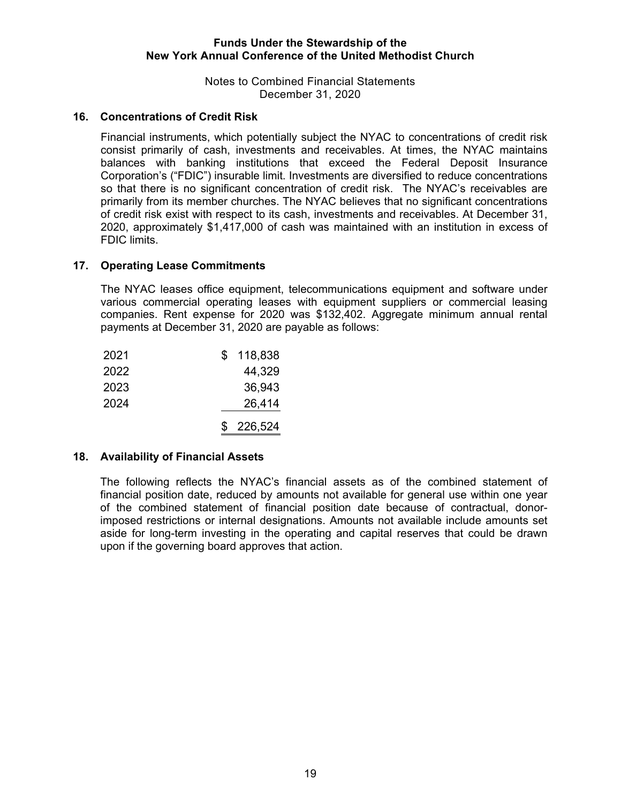Notes to Combined Financial Statements December 31, 2020

## **16. Concentrations of Credit Risk**

Financial instruments, which potentially subject the NYAC to concentrations of credit risk consist primarily of cash, investments and receivables. At times, the NYAC maintains balances with banking institutions that exceed the Federal Deposit Insurance Corporation's ("FDIC") insurable limit. Investments are diversified to reduce concentrations so that there is no significant concentration of credit risk. The NYAC's receivables are primarily from its member churches. The NYAC believes that no significant concentrations of credit risk exist with respect to its cash, investments and receivables. At December 31, 2020, approximately \$1,417,000 of cash was maintained with an institution in excess of FDIC limits.

### **17. Operating Lease Commitments**

The NYAC leases office equipment, telecommunications equipment and software under various commercial operating leases with equipment suppliers or commercial leasing companies. Rent expense for 2020 was \$132,402. Aggregate minimum annual rental payments at December 31, 2020 are payable as follows:

| 2021 | \$<br>118,838 |
|------|---------------|
| 2022 | 44,329        |
| 2023 | 36,943        |
| 2024 | 26,414        |
|      | \$226,524     |

#### **18. Availability of Financial Assets**

The following reflects the NYAC's financial assets as of the combined statement of financial position date, reduced by amounts not available for general use within one year of the combined statement of financial position date because of contractual, donorimposed restrictions or internal designations. Amounts not available include amounts set aside for long-term investing in the operating and capital reserves that could be drawn upon if the governing board approves that action.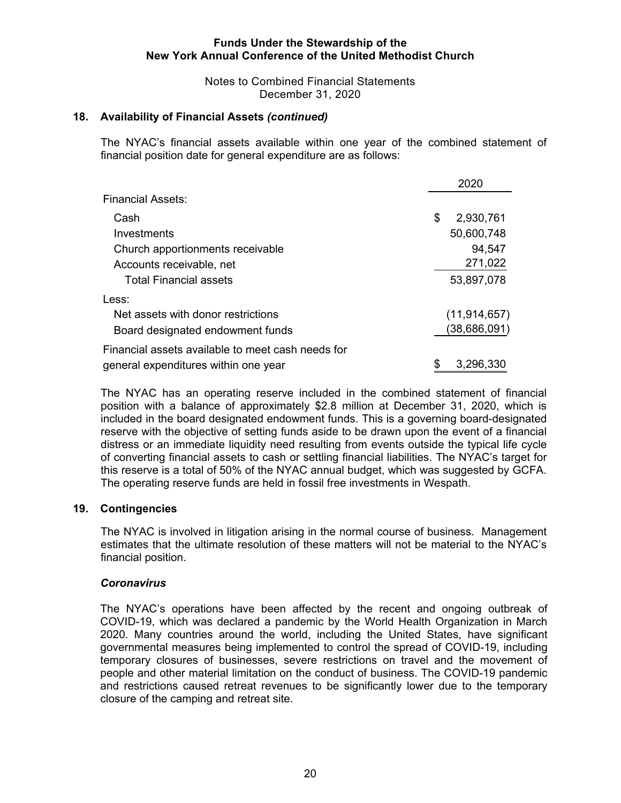Notes to Combined Financial Statements December 31, 2020

### **18. Availability of Financial Assets** *(continued)*

The NYAC's financial assets available within one year of the combined statement of financial position date for general expenditure are as follows:

|                                                   | 2020            |  |  |
|---------------------------------------------------|-----------------|--|--|
| <b>Financial Assets:</b>                          |                 |  |  |
| Cash                                              | \$<br>2,930,761 |  |  |
| Investments                                       | 50,600,748      |  |  |
| Church apportionments receivable                  | 94,547          |  |  |
| Accounts receivable, net                          | 271,022         |  |  |
| <b>Total Financial assets</b>                     | 53,897,078      |  |  |
| Less:                                             |                 |  |  |
| Net assets with donor restrictions                | (11, 914, 657)  |  |  |
| Board designated endowment funds                  | (38,686,091)    |  |  |
| Financial assets available to meet cash needs for |                 |  |  |
| general expenditures within one year              | \$<br>3,296,330 |  |  |

The NYAC has an operating reserve included in the combined statement of financial position with a balance of approximately \$2.8 million at December 31, 2020, which is included in the board designated endowment funds. This is a governing board-designated reserve with the objective of setting funds aside to be drawn upon the event of a financial distress or an immediate liquidity need resulting from events outside the typical life cycle of converting financial assets to cash or settling financial liabilities. The NYAC's target for this reserve is a total of 50% of the NYAC annual budget, which was suggested by GCFA. The operating reserve funds are held in fossil free investments in Wespath.

#### **19. Contingencies**

The NYAC is involved in litigation arising in the normal course of business. Management estimates that the ultimate resolution of these matters will not be material to the NYAC's financial position.

## *Coronavirus*

The NYAC's operations have been affected by the recent and ongoing outbreak of COVID-19, which was declared a pandemic by the World Health Organization in March 2020. Many countries around the world, including the United States, have significant governmental measures being implemented to control the spread of COVID-19, including temporary closures of businesses, severe restrictions on travel and the movement of people and other material limitation on the conduct of business. The COVID-19 pandemic and restrictions caused retreat revenues to be significantly lower due to the temporary closure of the camping and retreat site.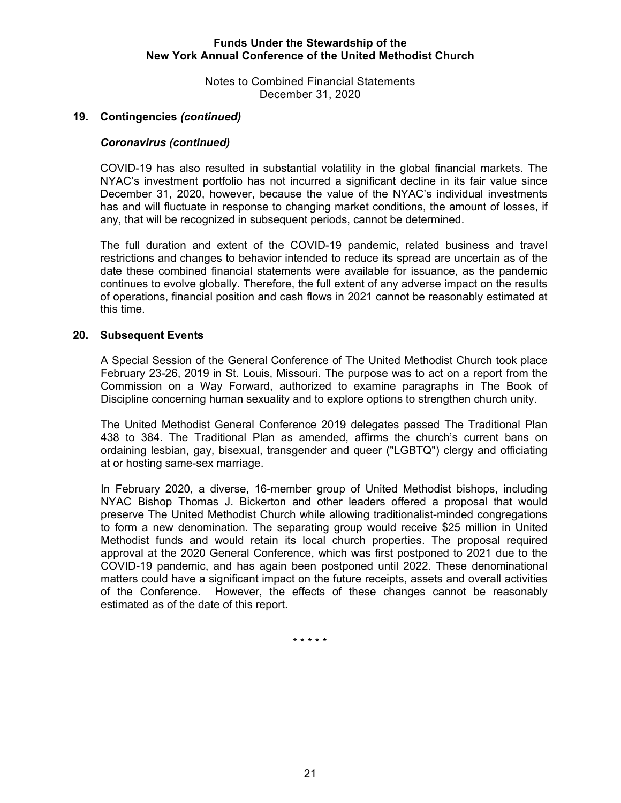Notes to Combined Financial Statements December 31, 2020

## **19. Contingencies** *(continued)*

### *Coronavirus (continued)*

COVID-19 has also resulted in substantial volatility in the global financial markets. The NYAC's investment portfolio has not incurred a significant decline in its fair value since December 31, 2020, however, because the value of the NYAC's individual investments has and will fluctuate in response to changing market conditions, the amount of losses, if any, that will be recognized in subsequent periods, cannot be determined.

The full duration and extent of the COVID-19 pandemic, related business and travel restrictions and changes to behavior intended to reduce its spread are uncertain as of the date these combined financial statements were available for issuance, as the pandemic continues to evolve globally. Therefore, the full extent of any adverse impact on the results of operations, financial position and cash flows in 2021 cannot be reasonably estimated at this time.

#### **20. Subsequent Events**

A Special Session of the General Conference of The United Methodist Church took place February 23-26, 2019 in St. Louis, Missouri. The purpose was to act on a report from the Commission on a Way Forward, authorized to examine paragraphs in The Book of Discipline concerning human sexuality and to explore options to strengthen church unity.

The United Methodist General Conference 2019 delegates passed The Traditional Plan 438 to 384. The Traditional Plan as amended, affirms the church's current bans on ordaining lesbian, gay, bisexual, transgender and queer ("LGBTQ") clergy and officiating at or hosting same-sex marriage.

In February 2020, a diverse, 16-member group of United Methodist bishops, including NYAC Bishop Thomas J. Bickerton and other leaders offered a proposal that would preserve The United Methodist Church while allowing traditionalist-minded congregations to form a new denomination. The separating group would receive \$25 million in United Methodist funds and would retain its local church properties. The proposal required approval at the 2020 General Conference, which was first postponed to 2021 due to the COVID-19 pandemic, and has again been postponed until 2022. These denominational matters could have a significant impact on the future receipts, assets and overall activities of the Conference. However, the effects of these changes cannot be reasonably estimated as of the date of this report.

\* \* \* \* \*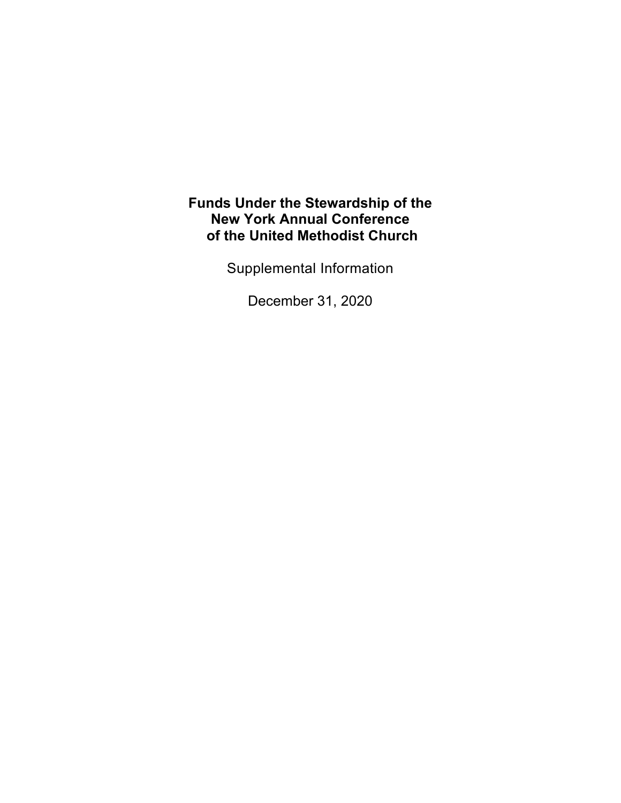Supplemental Information

December 31, 2020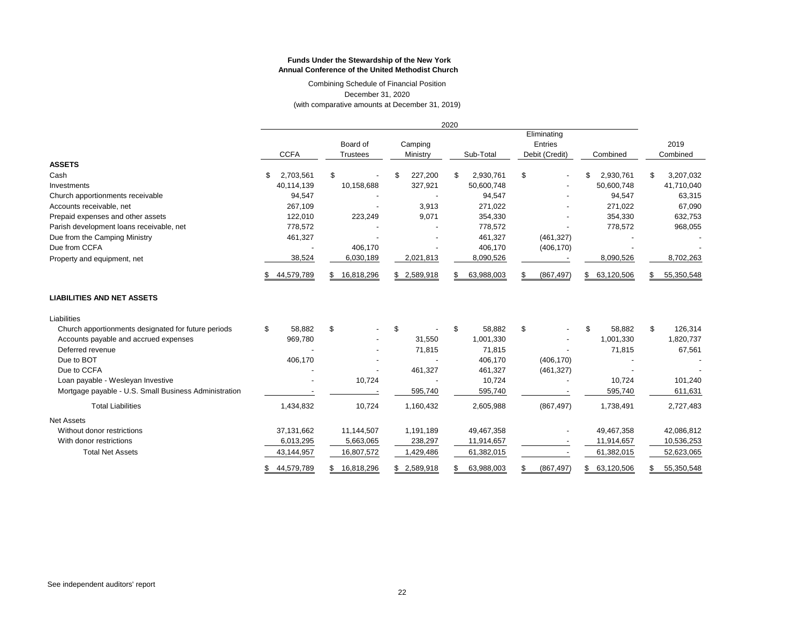December 31, 2020 (with comparative amounts at December 31, 2019) Combining Schedule of Financial Position

|                                                       | 2020        |            |                             |              |                     |             |           |            |                                          |            |                  |                  |            |
|-------------------------------------------------------|-------------|------------|-----------------------------|--------------|---------------------|-------------|-----------|------------|------------------------------------------|------------|------------------|------------------|------------|
|                                                       | <b>CCFA</b> |            | Board of<br><b>Trustees</b> |              | Camping<br>Ministry |             | Sub-Total |            | Eliminating<br>Entries<br>Debit (Credit) |            | Combined         | 2019<br>Combined |            |
| <b>ASSETS</b>                                         |             |            |                             |              |                     |             |           |            |                                          |            |                  |                  |            |
| Cash                                                  | S.          | 2,703,561  | \$                          |              |                     | 227,200     | \$        | 2,930,761  | \$                                       |            | 2,930,761<br>\$  | \$               | 3,207,032  |
| Investments                                           |             | 40,114,139 |                             | 10,158,688   |                     | 327,921     |           | 50,600,748 |                                          |            | 50,600,748       |                  | 41,710,040 |
| Church apportionments receivable                      |             | 94,547     |                             |              |                     |             |           | 94,547     |                                          |            | 94,547           |                  | 63,315     |
| Accounts receivable, net                              |             | 267,109    |                             |              |                     | 3,913       |           | 271,022    |                                          |            | 271,022          |                  | 67,090     |
| Prepaid expenses and other assets                     |             | 122,010    |                             | 223,249      |                     | 9,071       |           | 354,330    |                                          |            | 354,330          |                  | 632,753    |
| Parish development loans receivable, net              |             | 778,572    |                             |              |                     |             |           | 778,572    |                                          |            | 778,572          |                  | 968,055    |
| Due from the Camping Ministry                         |             | 461,327    |                             |              |                     |             |           | 461,327    |                                          | (461, 327) |                  |                  |            |
| Due from CCFA                                         |             |            |                             | 406,170      |                     |             |           | 406,170    |                                          | (406, 170) |                  |                  |            |
| Property and equipment, net                           |             | 38,524     |                             | 6,030,189    |                     | 2,021,813   |           | 8,090,526  |                                          |            | 8,090,526        |                  | 8,702,263  |
|                                                       |             | 44,579,789 | \$.                         | 16,818,296   |                     | \$2,589,918 |           | 63,988,003 | \$                                       | (867, 497) | 63,120,506<br>\$ | \$               | 55,350,548 |
| <b>LIABILITIES AND NET ASSETS</b>                     |             |            |                             |              |                     |             |           |            |                                          |            |                  |                  |            |
| Liabilities                                           |             |            |                             |              |                     |             |           |            |                                          |            |                  |                  |            |
| Church apportionments designated for future periods   | \$          | 58,882     | \$                          |              | \$                  |             | \$        | 58,882     | \$                                       |            | \$<br>58,882     | \$               | 126,314    |
| Accounts payable and accrued expenses                 |             | 969,780    |                             |              |                     | 31,550      |           | 1,001,330  |                                          |            | 1,001,330        |                  | 1,820,737  |
| Deferred revenue                                      |             |            |                             |              |                     | 71,815      |           | 71,815     |                                          |            | 71,815           |                  | 67,561     |
| Due to BOT                                            |             | 406,170    |                             |              |                     |             |           | 406,170    |                                          | (406, 170) |                  |                  |            |
| Due to CCFA                                           |             |            |                             |              |                     | 461,327     |           | 461,327    |                                          | (461, 327) |                  |                  |            |
| Loan payable - Wesleyan Investive                     |             |            |                             | 10,724       |                     |             |           | 10,724     |                                          |            | 10,724           |                  | 101,240    |
| Mortgage payable - U.S. Small Business Administration |             |            |                             |              |                     | 595,740     |           | 595,740    |                                          |            | 595,740          |                  | 611,631    |
| <b>Total Liabilities</b>                              |             | 1,434,832  |                             | 10,724       |                     | 1,160,432   |           | 2,605,988  |                                          | (867, 497) | 1,738,491        |                  | 2,727,483  |
| <b>Net Assets</b>                                     |             |            |                             |              |                     |             |           |            |                                          |            |                  |                  |            |
| Without donor restrictions                            |             | 37,131,662 |                             | 11,144,507   |                     | 1,191,189   |           | 49,467,358 |                                          |            | 49,467,358       |                  | 42,086,812 |
| With donor restrictions                               |             | 6,013,295  |                             | 5,663,065    |                     | 238,297     |           | 11,914,657 |                                          |            | 11,914,657       |                  | 10,536,253 |
| <b>Total Net Assets</b>                               |             | 43,144,957 |                             | 16,807,572   |                     | 1,429,486   |           | 61,382,015 |                                          |            | 61,382,015       |                  | 52,623,065 |
|                                                       | S.          | 44,579,789 |                             | \$16,818,296 |                     | \$2,589,918 | S         | 63,988,003 | \$                                       | (867, 497) | 63,120,506<br>\$ | \$               | 55,350,548 |